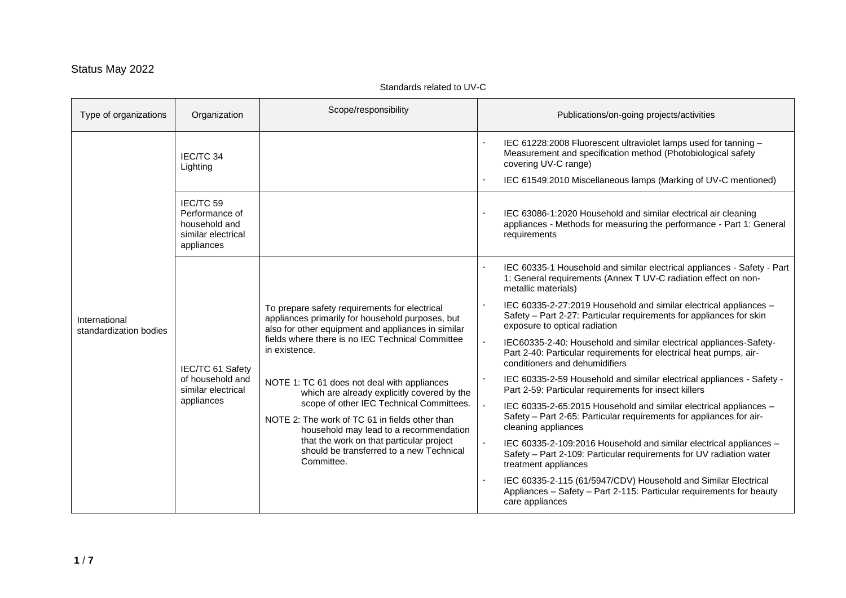## Status May 2022

## Standards related to UV-C

| Type of organizations                   | Organization                                                             | Scope/responsibility                                                                                                                                                                                                                                                                                                                                                                                                                                                                                                                                                     | Publications/on-going projects/activities                                                                                                                                                                                 |
|-----------------------------------------|--------------------------------------------------------------------------|--------------------------------------------------------------------------------------------------------------------------------------------------------------------------------------------------------------------------------------------------------------------------------------------------------------------------------------------------------------------------------------------------------------------------------------------------------------------------------------------------------------------------------------------------------------------------|---------------------------------------------------------------------------------------------------------------------------------------------------------------------------------------------------------------------------|
|                                         | IEC/TC 34<br>Lighting                                                    |                                                                                                                                                                                                                                                                                                                                                                                                                                                                                                                                                                          | IEC 61228:2008 Fluorescent ultraviolet lamps used for tanning -<br>Measurement and specification method (Photobiological safety<br>covering UV-C range)<br>IEC 61549:2010 Miscellaneous lamps (Marking of UV-C mentioned) |
|                                         | IEC/TC 59                                                                |                                                                                                                                                                                                                                                                                                                                                                                                                                                                                                                                                                          |                                                                                                                                                                                                                           |
| International<br>standardization bodies | Performance of<br>household and<br>similar electrical<br>appliances      |                                                                                                                                                                                                                                                                                                                                                                                                                                                                                                                                                                          | IEC 63086-1:2020 Household and similar electrical air cleaning<br>appliances - Methods for measuring the performance - Part 1: General<br>requirements                                                                    |
|                                         | IEC/TC 61 Safety<br>of household and<br>similar electrical<br>appliances |                                                                                                                                                                                                                                                                                                                                                                                                                                                                                                                                                                          | IEC 60335-1 Household and similar electrical appliances - Safety - Part<br>1: General requirements (Annex T UV-C radiation effect on non-<br>metallic materials)                                                          |
|                                         |                                                                          | To prepare safety requirements for electrical<br>appliances primarily for household purposes, but<br>also for other equipment and appliances in similar<br>fields where there is no IEC Technical Committee<br>in existence.<br>NOTE 1: TC 61 does not deal with appliances<br>which are already explicitly covered by the<br>scope of other IEC Technical Committees.<br>NOTE 2: The work of TC 61 in fields other than<br>household may lead to a recommendation<br>that the work on that particular project<br>should be transferred to a new Technical<br>Committee. | IEC 60335-2-27:2019 Household and similar electrical appliances -<br>Safety - Part 2-27: Particular requirements for appliances for skin<br>exposure to optical radiation                                                 |
|                                         |                                                                          |                                                                                                                                                                                                                                                                                                                                                                                                                                                                                                                                                                          | IEC60335-2-40: Household and similar electrical appliances-Safety-<br>Part 2-40: Particular requirements for electrical heat pumps, air-<br>conditioners and dehumidifiers                                                |
|                                         |                                                                          |                                                                                                                                                                                                                                                                                                                                                                                                                                                                                                                                                                          | IEC 60335-2-59 Household and similar electrical appliances - Safety -<br>Part 2-59: Particular requirements for insect killers                                                                                            |
|                                         |                                                                          |                                                                                                                                                                                                                                                                                                                                                                                                                                                                                                                                                                          | IEC 60335-2-65:2015 Household and similar electrical appliances -<br>Safety - Part 2-65: Particular requirements for appliances for air-<br>cleaning appliances                                                           |
|                                         |                                                                          |                                                                                                                                                                                                                                                                                                                                                                                                                                                                                                                                                                          | IEC 60335-2-109:2016 Household and similar electrical appliances -<br>Safety - Part 2-109: Particular requirements for UV radiation water<br>treatment appliances                                                         |
|                                         |                                                                          |                                                                                                                                                                                                                                                                                                                                                                                                                                                                                                                                                                          | IEC 60335-2-115 (61/5947/CDV) Household and Similar Electrical<br>Appliances - Safety - Part 2-115: Particular requirements for beauty<br>care appliances                                                                 |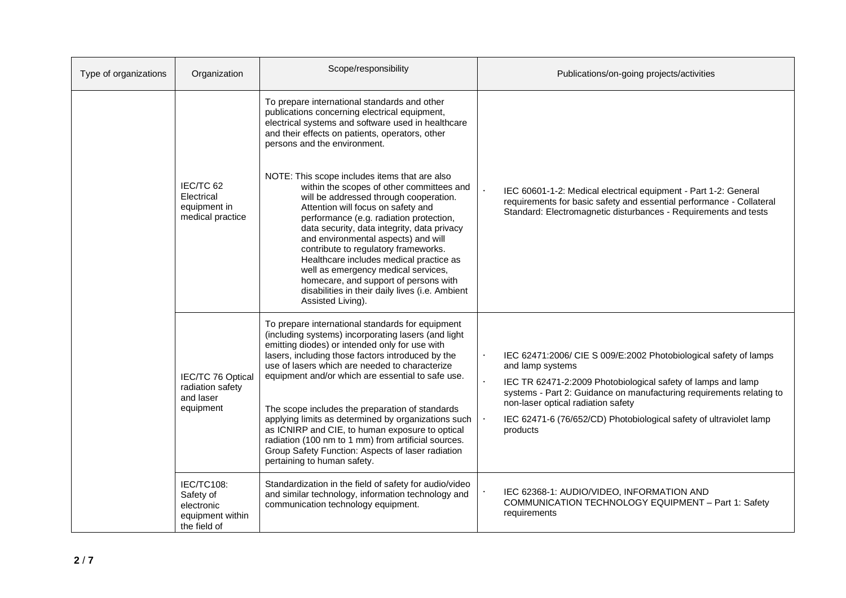| Type of organizations | Organization                                                                  | Scope/responsibility                                                                                                                                                                                                                                                                                                                                                                                                                                                                                                                                                                                                                                                                                                                                                                             | Publications/on-going projects/activities                                                                                                                                                                                                                                                                                                                                    |
|-----------------------|-------------------------------------------------------------------------------|--------------------------------------------------------------------------------------------------------------------------------------------------------------------------------------------------------------------------------------------------------------------------------------------------------------------------------------------------------------------------------------------------------------------------------------------------------------------------------------------------------------------------------------------------------------------------------------------------------------------------------------------------------------------------------------------------------------------------------------------------------------------------------------------------|------------------------------------------------------------------------------------------------------------------------------------------------------------------------------------------------------------------------------------------------------------------------------------------------------------------------------------------------------------------------------|
|                       | IEC/TC 62<br>Electrical<br>equipment in<br>medical practice                   | To prepare international standards and other<br>publications concerning electrical equipment,<br>electrical systems and software used in healthcare<br>and their effects on patients, operators, other<br>persons and the environment.<br>NOTE: This scope includes items that are also<br>within the scopes of other committees and<br>will be addressed through cooperation.<br>Attention will focus on safety and<br>performance (e.g. radiation protection,<br>data security, data integrity, data privacy<br>and environmental aspects) and will<br>contribute to regulatory frameworks.<br>Healthcare includes medical practice as<br>well as emergency medical services,<br>homecare, and support of persons with<br>disabilities in their daily lives (i.e. Ambient<br>Assisted Living). | IEC 60601-1-2: Medical electrical equipment - Part 1-2: General<br>requirements for basic safety and essential performance - Collateral<br>Standard: Electromagnetic disturbances - Requirements and tests                                                                                                                                                                   |
|                       | IEC/TC 76 Optical<br>radiation safety<br>and laser<br>equipment<br>IEC/TC108: | To prepare international standards for equipment<br>(including systems) incorporating lasers (and light<br>emitting diodes) or intended only for use with<br>lasers, including those factors introduced by the<br>use of lasers which are needed to characterize<br>equipment and/or which are essential to safe use.<br>The scope includes the preparation of standards<br>applying limits as determined by organizations such<br>as ICNIRP and CIE, to human exposure to optical<br>radiation (100 nm to 1 mm) from artificial sources.<br>Group Safety Function: Aspects of laser radiation<br>pertaining to human safety.<br>Standardization in the field of safety for audio/video                                                                                                          | IEC 62471:2006/ CIE S 009/E:2002 Photobiological safety of lamps<br>and lamp systems<br>$\ddot{\phantom{0}}$<br>IEC TR 62471-2:2009 Photobiological safety of lamps and lamp<br>systems - Part 2: Guidance on manufacturing requirements relating to<br>non-laser optical radiation safety<br>IEC 62471-6 (76/652/CD) Photobiological safety of ultraviolet lamp<br>products |
|                       | Safety of<br>electronic<br>equipment within<br>the field of                   | and similar technology, information technology and<br>communication technology equipment.                                                                                                                                                                                                                                                                                                                                                                                                                                                                                                                                                                                                                                                                                                        | IEC 62368-1: AUDIO/VIDEO, INFORMATION AND<br>COMMUNICATION TECHNOLOGY EQUIPMENT - Part 1: Safety<br>requirements                                                                                                                                                                                                                                                             |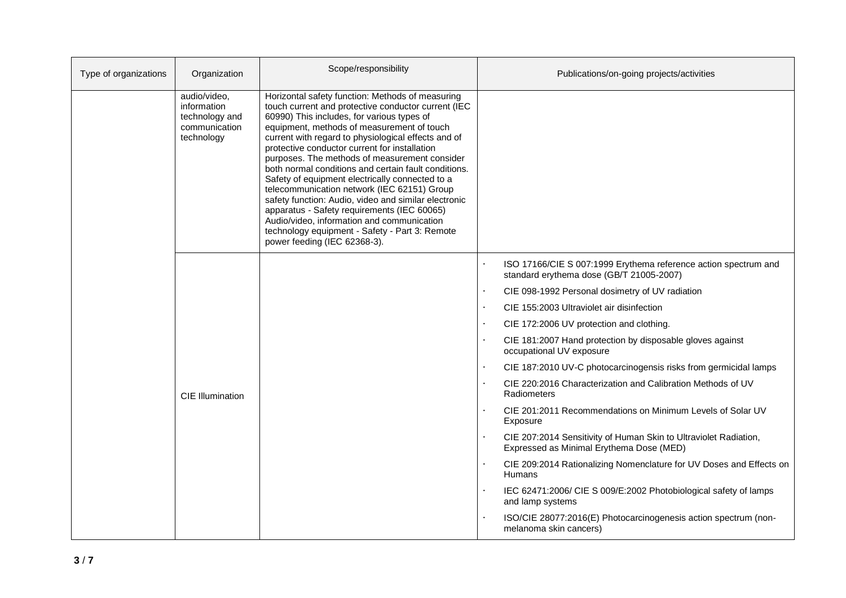| Type of organizations | Organization                                                                 | Scope/responsibility                                                                                                                                                                                                                                                                                                                                                                                                                                                                                                                                                                                                                                                                                                                                          |                        | Publications/on-going projects/activities                                                                                                                                                                   |
|-----------------------|------------------------------------------------------------------------------|---------------------------------------------------------------------------------------------------------------------------------------------------------------------------------------------------------------------------------------------------------------------------------------------------------------------------------------------------------------------------------------------------------------------------------------------------------------------------------------------------------------------------------------------------------------------------------------------------------------------------------------------------------------------------------------------------------------------------------------------------------------|------------------------|-------------------------------------------------------------------------------------------------------------------------------------------------------------------------------------------------------------|
|                       | audio/video,<br>information<br>technology and<br>communication<br>technology | Horizontal safety function: Methods of measuring<br>touch current and protective conductor current (IEC<br>60990) This includes, for various types of<br>equipment, methods of measurement of touch<br>current with regard to physiological effects and of<br>protective conductor current for installation<br>purposes. The methods of measurement consider<br>both normal conditions and certain fault conditions.<br>Safety of equipment electrically connected to a<br>telecommunication network (IEC 62151) Group<br>safety function: Audio, video and similar electronic<br>apparatus - Safety requirements (IEC 60065)<br>Audio/video, information and communication<br>technology equipment - Safety - Part 3: Remote<br>power feeding (IEC 62368-3). |                        |                                                                                                                                                                                                             |
|                       |                                                                              |                                                                                                                                                                                                                                                                                                                                                                                                                                                                                                                                                                                                                                                                                                                                                               | $\bullet$<br>$\bullet$ | ISO 17166/CIE S 007:1999 Erythema reference action spectrum and<br>standard erythema dose (GB/T 21005-2007)<br>CIE 098-1992 Personal dosimetry of UV radiation<br>CIE 155:2003 Ultraviolet air disinfection |
|                       |                                                                              |                                                                                                                                                                                                                                                                                                                                                                                                                                                                                                                                                                                                                                                                                                                                                               |                        | CIE 172:2006 UV protection and clothing.<br>CIE 181:2007 Hand protection by disposable gloves against<br>occupational UV exposure                                                                           |
|                       |                                                                              |                                                                                                                                                                                                                                                                                                                                                                                                                                                                                                                                                                                                                                                                                                                                                               | $\cdot$                | CIE 187:2010 UV-C photocarcinogensis risks from germicidal lamps                                                                                                                                            |
|                       | <b>CIE Illumination</b>                                                      |                                                                                                                                                                                                                                                                                                                                                                                                                                                                                                                                                                                                                                                                                                                                                               |                        | CIE 220:2016 Characterization and Calibration Methods of UV<br>Radiometers                                                                                                                                  |
|                       |                                                                              |                                                                                                                                                                                                                                                                                                                                                                                                                                                                                                                                                                                                                                                                                                                                                               |                        | CIE 201:2011 Recommendations on Minimum Levels of Solar UV<br>Exposure                                                                                                                                      |
|                       |                                                                              |                                                                                                                                                                                                                                                                                                                                                                                                                                                                                                                                                                                                                                                                                                                                                               |                        | CIE 207:2014 Sensitivity of Human Skin to Ultraviolet Radiation,<br>Expressed as Minimal Erythema Dose (MED)                                                                                                |
|                       |                                                                              |                                                                                                                                                                                                                                                                                                                                                                                                                                                                                                                                                                                                                                                                                                                                                               |                        | CIE 209:2014 Rationalizing Nomenclature for UV Doses and Effects on<br><b>Humans</b>                                                                                                                        |
|                       |                                                                              |                                                                                                                                                                                                                                                                                                                                                                                                                                                                                                                                                                                                                                                                                                                                                               |                        | IEC 62471:2006/ CIE S 009/E:2002 Photobiological safety of lamps<br>and lamp systems                                                                                                                        |
|                       |                                                                              |                                                                                                                                                                                                                                                                                                                                                                                                                                                                                                                                                                                                                                                                                                                                                               |                        | ISO/CIE 28077:2016(E) Photocarcinogenesis action spectrum (non-<br>melanoma skin cancers)                                                                                                                   |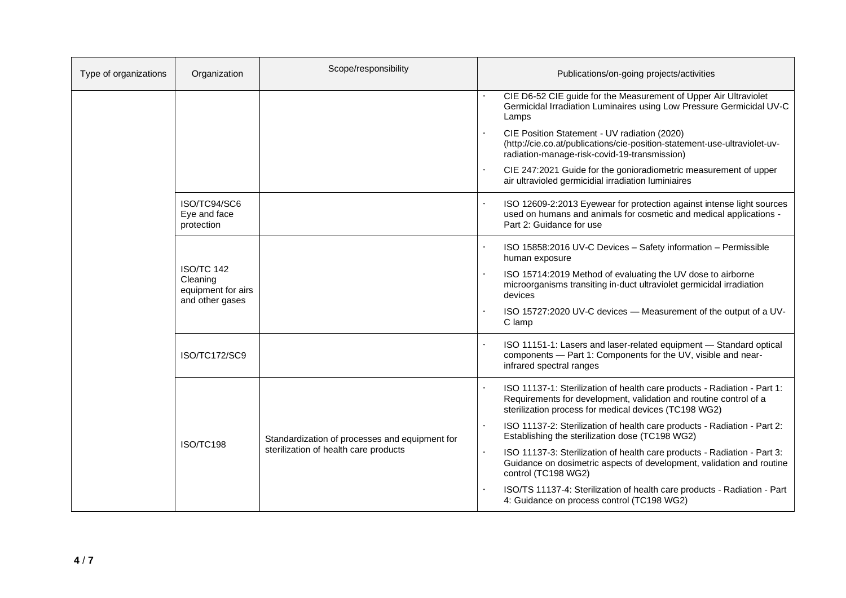| Type of organizations | Organization                                                           | Scope/responsibility                                                                    | Publications/on-going projects/activities                                                                                                                                                              |
|-----------------------|------------------------------------------------------------------------|-----------------------------------------------------------------------------------------|--------------------------------------------------------------------------------------------------------------------------------------------------------------------------------------------------------|
|                       |                                                                        |                                                                                         | CIE D6-52 CIE guide for the Measurement of Upper Air Ultraviolet<br>Germicidal Irradiation Luminaires using Low Pressure Germicidal UV-C<br>Lamps                                                      |
|                       |                                                                        |                                                                                         | CIE Position Statement - UV radiation (2020)<br>(http://cie.co.at/publications/cie-position-statement-use-ultraviolet-uv-<br>radiation-manage-risk-covid-19-transmission)                              |
|                       |                                                                        |                                                                                         | CIE 247:2021 Guide for the gonioradiometric measurement of upper<br>air ultravioled germicidial irradiation luminiaires                                                                                |
|                       | ISO/TC94/SC6<br>Eye and face<br>protection                             |                                                                                         | ISO 12609-2:2013 Eyewear for protection against intense light sources<br>used on humans and animals for cosmetic and medical applications -<br>Part 2: Guidance for use                                |
|                       | <b>ISO/TC 142</b><br>Cleaning<br>equipment for airs<br>and other gases |                                                                                         | ISO 15858:2016 UV-C Devices - Safety information - Permissible<br>human exposure                                                                                                                       |
|                       |                                                                        |                                                                                         | ISO 15714:2019 Method of evaluating the UV dose to airborne<br>microorganisms transiting in-duct ultraviolet germicidal irradiation<br>devices                                                         |
|                       |                                                                        |                                                                                         | ISO 15727:2020 UV-C devices - Measurement of the output of a UV-<br>C lamp                                                                                                                             |
|                       | ISO/TC172/SC9                                                          |                                                                                         | ISO 11151-1: Lasers and laser-related equipment - Standard optical<br>components - Part 1: Components for the UV, visible and near-<br>infrared spectral ranges                                        |
|                       | ISO/TC198                                                              | Standardization of processes and equipment for<br>sterilization of health care products | ISO 11137-1: Sterilization of health care products - Radiation - Part 1:<br>Requirements for development, validation and routine control of a<br>sterilization process for medical devices (TC198 WG2) |
|                       |                                                                        |                                                                                         | ISO 11137-2: Sterilization of health care products - Radiation - Part 2:<br>Establishing the sterilization dose (TC198 WG2)                                                                            |
|                       |                                                                        |                                                                                         | ISO 11137-3: Sterilization of health care products - Radiation - Part 3:<br>Guidance on dosimetric aspects of development, validation and routine<br>control (TC198 WG2)                               |
|                       |                                                                        |                                                                                         | ISO/TS 11137-4: Sterilization of health care products - Radiation - Part<br>4: Guidance on process control (TC198 WG2)                                                                                 |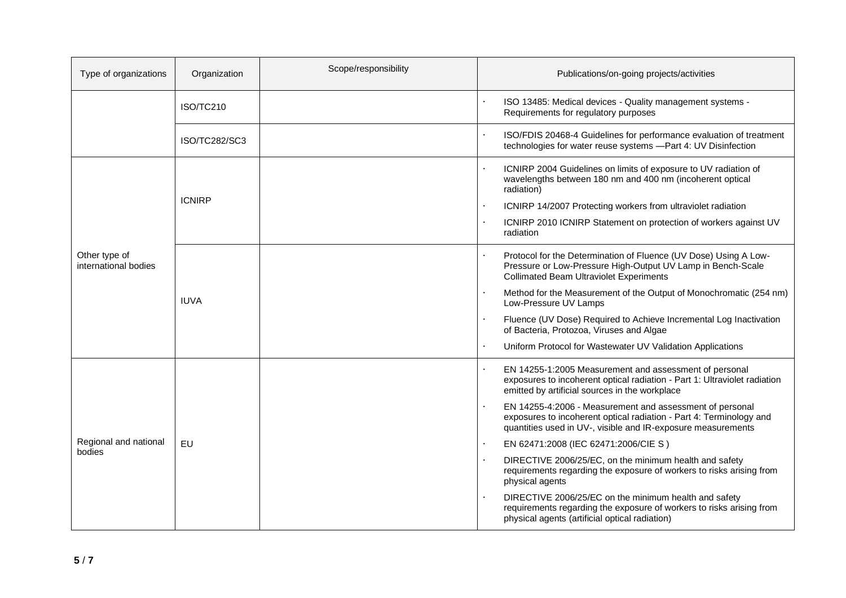| Type of organizations                 | Organization  | Scope/responsibility | Publications/on-going projects/activities                                                                                                                                                                                                                                                                                                                                                                                                                                                                                                                                                                                                                                                                                                                                                                                                         |
|---------------------------------------|---------------|----------------------|---------------------------------------------------------------------------------------------------------------------------------------------------------------------------------------------------------------------------------------------------------------------------------------------------------------------------------------------------------------------------------------------------------------------------------------------------------------------------------------------------------------------------------------------------------------------------------------------------------------------------------------------------------------------------------------------------------------------------------------------------------------------------------------------------------------------------------------------------|
|                                       | ISO/TC210     |                      | ISO 13485: Medical devices - Quality management systems -<br>Requirements for regulatory purposes                                                                                                                                                                                                                                                                                                                                                                                                                                                                                                                                                                                                                                                                                                                                                 |
|                                       | ISO/TC282/SC3 |                      | ISO/FDIS 20468-4 Guidelines for performance evaluation of treatment<br>$\bullet$<br>technologies for water reuse systems -Part 4: UV Disinfection                                                                                                                                                                                                                                                                                                                                                                                                                                                                                                                                                                                                                                                                                                 |
| Other type of<br>international bodies | <b>ICNIRP</b> |                      | ICNIRP 2004 Guidelines on limits of exposure to UV radiation of<br>wavelengths between 180 nm and 400 nm (incoherent optical<br>radiation)<br>ICNIRP 14/2007 Protecting workers from ultraviolet radiation<br>ICNIRP 2010 ICNIRP Statement on protection of workers against UV<br>$\cdot$                                                                                                                                                                                                                                                                                                                                                                                                                                                                                                                                                         |
|                                       | <b>IUVA</b>   |                      | radiation<br>Protocol for the Determination of Fluence (UV Dose) Using A Low-<br>Pressure or Low-Pressure High-Output UV Lamp in Bench-Scale<br><b>Collimated Beam Ultraviolet Experiments</b><br>Method for the Measurement of the Output of Monochromatic (254 nm)<br>Low-Pressure UV Lamps<br>Fluence (UV Dose) Required to Achieve Incremental Log Inactivation<br>of Bacteria, Protozoa, Viruses and Algae                                                                                                                                                                                                                                                                                                                                                                                                                                   |
| Regional and national<br>bodies       | EU            |                      | Uniform Protocol for Wastewater UV Validation Applications<br>EN 14255-1:2005 Measurement and assessment of personal<br>exposures to incoherent optical radiation - Part 1: Ultraviolet radiation<br>emitted by artificial sources in the workplace<br>EN 14255-4:2006 - Measurement and assessment of personal<br>exposures to incoherent optical radiation - Part 4: Terminology and<br>quantities used in UV-, visible and IR-exposure measurements<br>EN 62471:2008 (IEC 62471:2006/CIE S)<br>$\cdot$<br>DIRECTIVE 2006/25/EC, on the minimum health and safety<br>requirements regarding the exposure of workers to risks arising from<br>physical agents<br>DIRECTIVE 2006/25/EC on the minimum health and safety<br>requirements regarding the exposure of workers to risks arising from<br>physical agents (artificial optical radiation) |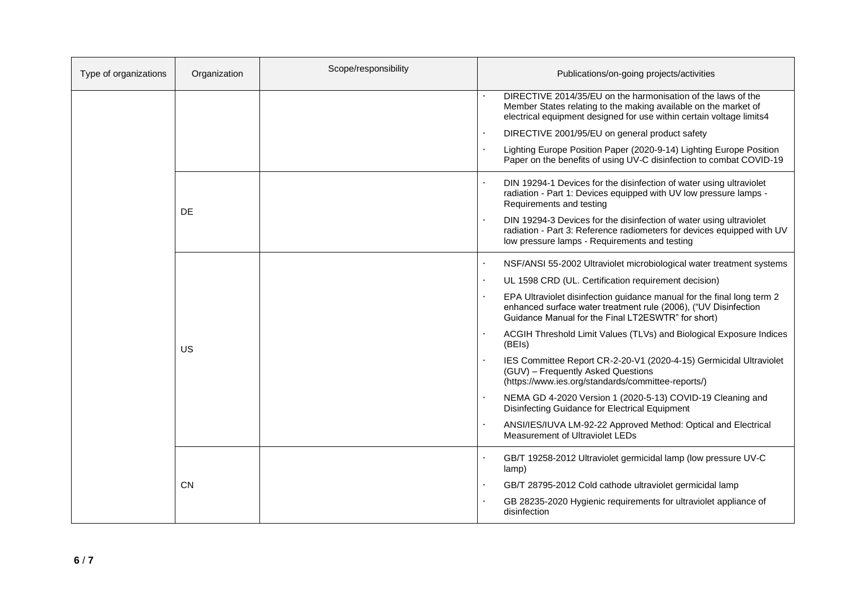| Type of organizations | Organization | Scope/responsibility | Publications/on-going projects/activities                                                                                                                                                                    |
|-----------------------|--------------|----------------------|--------------------------------------------------------------------------------------------------------------------------------------------------------------------------------------------------------------|
|                       |              |                      | DIRECTIVE 2014/35/EU on the harmonisation of the laws of the<br>Member States relating to the making available on the market of<br>electrical equipment designed for use within certain voltage limits4      |
|                       |              |                      | DIRECTIVE 2001/95/EU on general product safety<br>$\bullet$                                                                                                                                                  |
|                       |              |                      | Lighting Europe Position Paper (2020-9-14) Lighting Europe Position<br>$\cdot$<br>Paper on the benefits of using UV-C disinfection to combat COVID-19                                                        |
|                       |              |                      | DIN 19294-1 Devices for the disinfection of water using ultraviolet<br>radiation - Part 1: Devices equipped with UV low pressure lamps -<br>Requirements and testing                                         |
|                       | DE           |                      | DIN 19294-3 Devices for the disinfection of water using ultraviolet<br>$\cdot$<br>radiation - Part 3: Reference radiometers for devices equipped with UV<br>low pressure lamps - Requirements and testing    |
|                       | US           |                      | NSF/ANSI 55-2002 Ultraviolet microbiological water treatment systems<br>$\bullet$                                                                                                                            |
|                       |              |                      | UL 1598 CRD (UL. Certification requirement decision)                                                                                                                                                         |
|                       |              |                      | EPA Ultraviolet disinfection guidance manual for the final long term 2<br>$\bullet$<br>enhanced surface water treatment rule (2006), ("UV Disinfection<br>Guidance Manual for the Final LT2ESWTR" for short) |
|                       |              |                      | ACGIH Threshold Limit Values (TLVs) and Biological Exposure Indices<br>$\bullet$<br>(BEIs)                                                                                                                   |
|                       |              |                      | IES Committee Report CR-2-20-V1 (2020-4-15) Germicidal Ultraviolet<br>(GUV) - Frequently Asked Questions<br>(https://www.ies.org/standards/committee-reports/)                                               |
|                       |              |                      | NEMA GD 4-2020 Version 1 (2020-5-13) COVID-19 Cleaning and<br>$\bullet$<br>Disinfecting Guidance for Electrical Equipment                                                                                    |
|                       |              |                      | ANSI/IES/IUVA LM-92-22 Approved Method: Optical and Electrical<br>Measurement of Ultraviolet LEDs                                                                                                            |
|                       | <b>CN</b>    |                      | GB/T 19258-2012 Ultraviolet germicidal lamp (low pressure UV-C<br>$\bullet$<br>lamp)                                                                                                                         |
|                       |              |                      | GB/T 28795-2012 Cold cathode ultraviolet germicidal lamp<br>$\bullet$                                                                                                                                        |
|                       |              |                      | GB 28235-2020 Hygienic requirements for ultraviolet appliance of<br>$\bullet$<br>disinfection                                                                                                                |